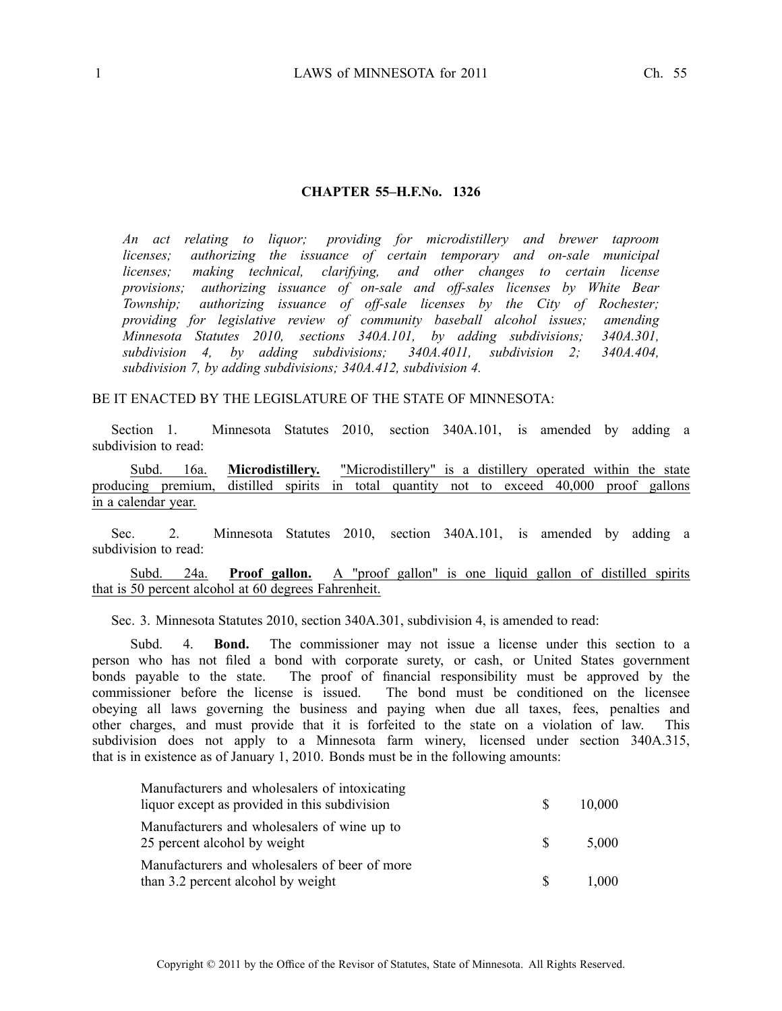#### **CHAPTER 55–H.F.No. 1326**

*An act relating to liquor; providing for microdistillery and brewer taproom licenses; authorizing the issuance of certain temporary and on-sale municipal licenses; making technical, clarifying, and other changes to certain license provisions; authorizing issuance of on-sale and off-sales licenses by White Bear Township; authorizing issuance of off-sale licenses by the City of Rochester; providing for legislative review of community baseball alcohol issues; amending Minnesota Statutes 2010, sections 340A.101, by adding subdivisions; 340A.301, subdivision 4, by adding subdivisions; 340A.4011, subdivision 2; 340A.404, subdivision 7, by adding subdivisions; 340A.412, subdivision 4.*

#### BE IT ENACTED BY THE LEGISLATURE OF THE STATE OF MINNESOTA:

Section 1. Minnesota Statutes 2010, section 340A.101, is amended by adding <sup>a</sup> subdivision to read:

Subd. 16a. **Microdistillery.** "Microdistillery" is <sup>a</sup> distillery operated within the state producing premium, distilled spirits in total quantity not to exceed 40,000 proof gallons in <sup>a</sup> calendar year.

Sec. 2. Minnesota Statutes 2010, section 340A.101, is amended by adding <sup>a</sup> subdivision to read:

Subd. 24a. **Proof gallon.** A "proof gallon" is one liquid gallon of distilled spirits that is 50 percen<sup>t</sup> alcohol at 60 degrees Fahrenheit.

Sec. 3. Minnesota Statutes 2010, section 340A.301, subdivision 4, is amended to read:

Subd. 4. **Bond.** The commissioner may not issue <sup>a</sup> license under this section to <sup>a</sup> person who has not filed <sup>a</sup> bond with corporate surety, or cash, or United States governmen<sup>t</sup> bonds payable to the state. The proof of financial responsibility must be approved by the commissioner before the license is issued. The bond must be conditioned on the licensee obeying all laws governing the business and paying when due all taxes, fees, penalties and other charges, and must provide that it is forfeited to the state on <sup>a</sup> violation of law. This subdivision does not apply to <sup>a</sup> Minnesota farm winery, licensed under section 340A.315, that is in existence as of January 1, 2010. Bonds must be in the following amounts:

| Manufacturers and wholesalers of intoxicating                                       |              |        |
|-------------------------------------------------------------------------------------|--------------|--------|
| liquor except as provided in this subdivision                                       | S.           | 10,000 |
| Manufacturers and wholesalers of wine up to<br>25 percent alcohol by weight         | <sup>S</sup> | 5,000  |
| Manufacturers and wholesalers of beer of more<br>than 3.2 percent alcohol by weight |              | 1,000  |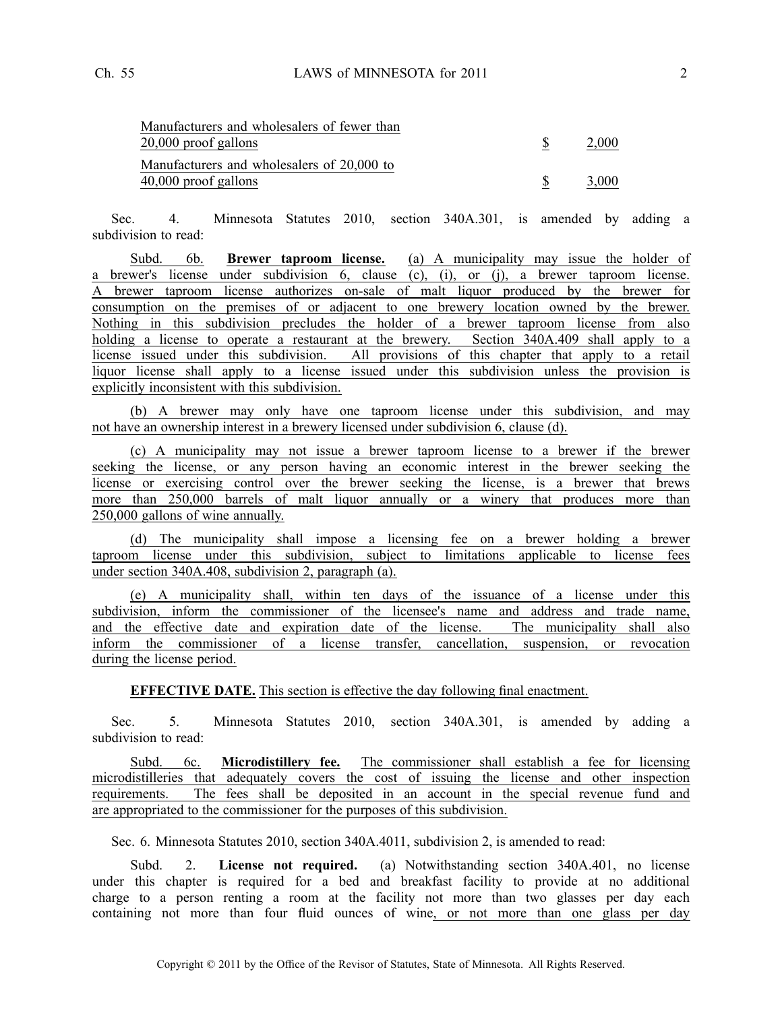| Manufacturers and wholesalers of fewer than |       |
|---------------------------------------------|-------|
| 20,000 proof gallons                        | 2,000 |
| Manufacturers and wholesalers of 20,000 to  |       |
| 40,000 proof gallons                        | 3,000 |
|                                             |       |

Sec. 4. Minnesota Statutes 2010, section 340A.301, is amended by adding <sup>a</sup> subdivision to read:

Subd. 6b. **Brewer taproom license.** (a) A municipality may issue the holder of <sup>a</sup> brewer's license under subdivision 6, clause (c), (i), or (j), <sup>a</sup> brewer taproom license. A brewer taproom license authorizes on-sale of malt liquor produced by the brewer for consumption on the premises of or adjacent to one brewery location owned by the brewer. Nothing in this subdivision precludes the holder of <sup>a</sup> brewer taproom license from also holding a license to operate a restaurant at the brewery. Section 340A.409 shall apply to a license issued under this subdivision. All provisions of this chapter that apply to <sup>a</sup> retail liquor license shall apply to <sup>a</sup> license issued under this subdivision unless the provision is explicitly inconsistent with this subdivision.

(b) A brewer may only have one taproom license under this subdivision, and may not have an ownership interest in <sup>a</sup> brewery licensed under subdivision 6, clause (d).

(c) A municipality may not issue <sup>a</sup> brewer taproom license to <sup>a</sup> brewer if the brewer seeking the license, or any person having an economic interest in the brewer seeking the license or exercising control over the brewer seeking the license, is <sup>a</sup> brewer that brews more than 250,000 barrels of malt liquor annually or a winery that produces more than 250,000 gallons of wine annually.

(d) The municipality shall impose <sup>a</sup> licensing fee on <sup>a</sup> brewer holding <sup>a</sup> brewer taproom license under this subdivision, subject to limitations applicable to license fees under section 340A.408, subdivision 2, paragraph (a).

(e) A municipality shall, within ten days of the issuance of <sup>a</sup> license under this subdivision, inform the commissioner of the licensee's name and address and trade name, and the effective date and expiration date of the license. The municipality shall also inform the commissioner of <sup>a</sup> license transfer, cancellation, suspension, or revocation during the license period.

**EFFECTIVE DATE.** This section is effective the day following final enactment.

Sec. 5. Minnesota Statutes 2010, section 340A.301, is amended by adding <sup>a</sup> subdivision to read:

Subd. 6c. **Microdistillery fee.** The commissioner shall establish <sup>a</sup> fee for licensing microdistilleries that adequately covers the cost of issuing the license and other inspection requirements. The fees shall be deposited in an account in the special revenue fund and are appropriated to the commissioner for the purposes of this subdivision.

Sec. 6. Minnesota Statutes 2010, section 340A.4011, subdivision 2, is amended to read:

Subd. 2. **License not required.** (a) Notwithstanding section 340A.401, no license under this chapter is required for <sup>a</sup> bed and breakfast facility to provide at no additional charge to <sup>a</sup> person renting <sup>a</sup> room at the facility not more than two glasses per day each containing not more than four fluid ounces of wine, or not more than one glass per day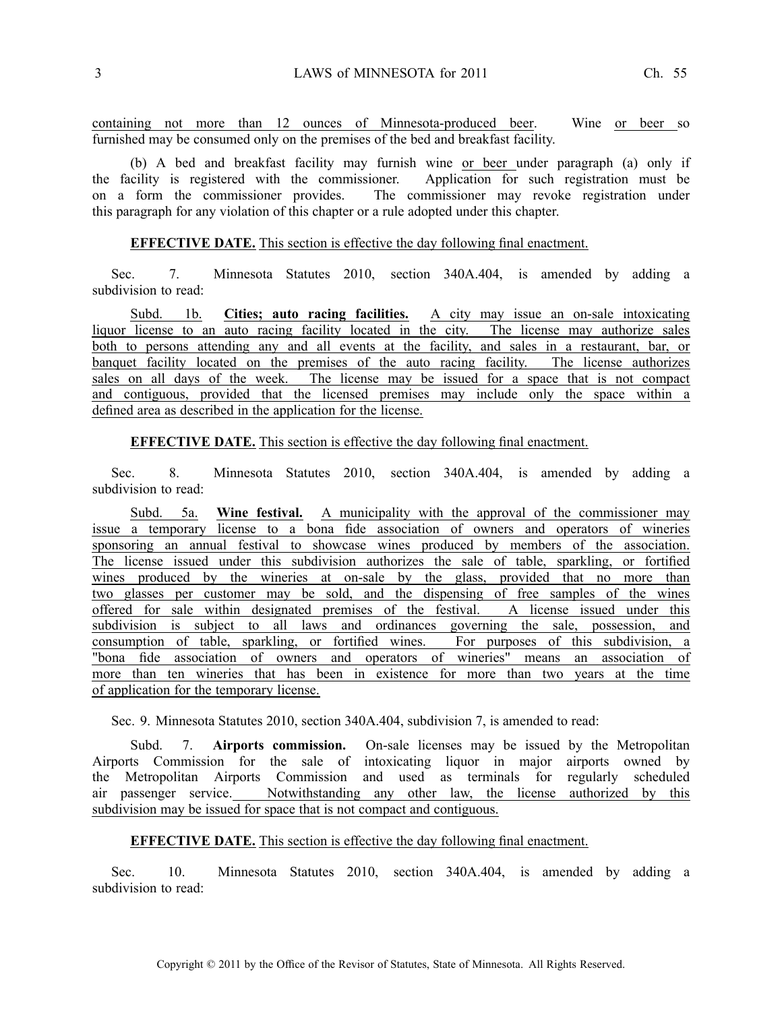containing not more than 12 ounces of Minnesota-produced beer. Wine or beer so furnished may be consumed only on the premises of the bed and breakfast facility.

(b) A bed and breakfast facility may furnish wine or beer under paragraph (a) only if the facility is registered with the commissioner. Application for such registration must be on <sup>a</sup> form the commissioner provides. The commissioner may revoke registration under this paragraph for any violation of this chapter or <sup>a</sup> rule adopted under this chapter.

## **EFFECTIVE DATE.** This section is effective the day following final enactment.

Sec. 7. Minnesota Statutes 2010, section 340A.404, is amended by adding <sup>a</sup> subdivision to read:

Subd. 1b. **Cities; auto racing facilities.** A city may issue an on-sale intoxicating liquor license to an auto racing facility located in the city. The license may authorize sales both to persons attending any and all events at the facility, and sales in <sup>a</sup> restaurant, bar, or banquet facility located on the premises of the auto racing facility. The license authorizes sales on all days of the week. The license may be issued for a space that is not compact and contiguous, provided that the licensed premises may include only the space within <sup>a</sup> defined area as described in the application for the license.

**EFFECTIVE DATE.** This section is effective the day following final enactment.

Sec. 8. Minnesota Statutes 2010, section 340A.404, is amended by adding <sup>a</sup> subdivision to read:

Subd. 5a. **Wine festival.** A municipality with the approval of the commissioner may issue <sup>a</sup> temporary license to <sup>a</sup> bona fide association of owners and operators of wineries sponsoring an annual festival to showcase wines produced by members of the association. The license issued under this subdivision authorizes the sale of table, sparkling, or fortified wines produced by the wineries at on-sale by the glass, provided that no more than two glasses per customer may be sold, and the dispensing of free samples of the wines offered for sale within designated premises of the festival. A license issued under this subdivision is subject to all laws and ordinances governing the sale, possession, and consumption of table, sparkling, or fortified wines. For purposes of this subdivision, <sup>a</sup> "bona fide association of owners and operators of wineries" means an association of more than ten wineries that has been in existence for more than two years at the time of application for the temporary license.

Sec. 9. Minnesota Statutes 2010, section 340A.404, subdivision 7, is amended to read:

Subd. 7. **Airports commission.** On-sale licenses may be issued by the Metropolitan Airports Commission for the sale of intoxicating liquor in major airports owned by the Metropolitan Airports Commission and used as terminals for regularly scheduled air passenger service. Notwithstanding any other law, the license authorized by this subdivision may be issued for space that is not compac<sup>t</sup> and contiguous.

# **EFFECTIVE DATE.** This section is effective the day following final enactment.

Sec. 10. Minnesota Statutes 2010, section 340A.404, is amended by adding <sup>a</sup> subdivision to read: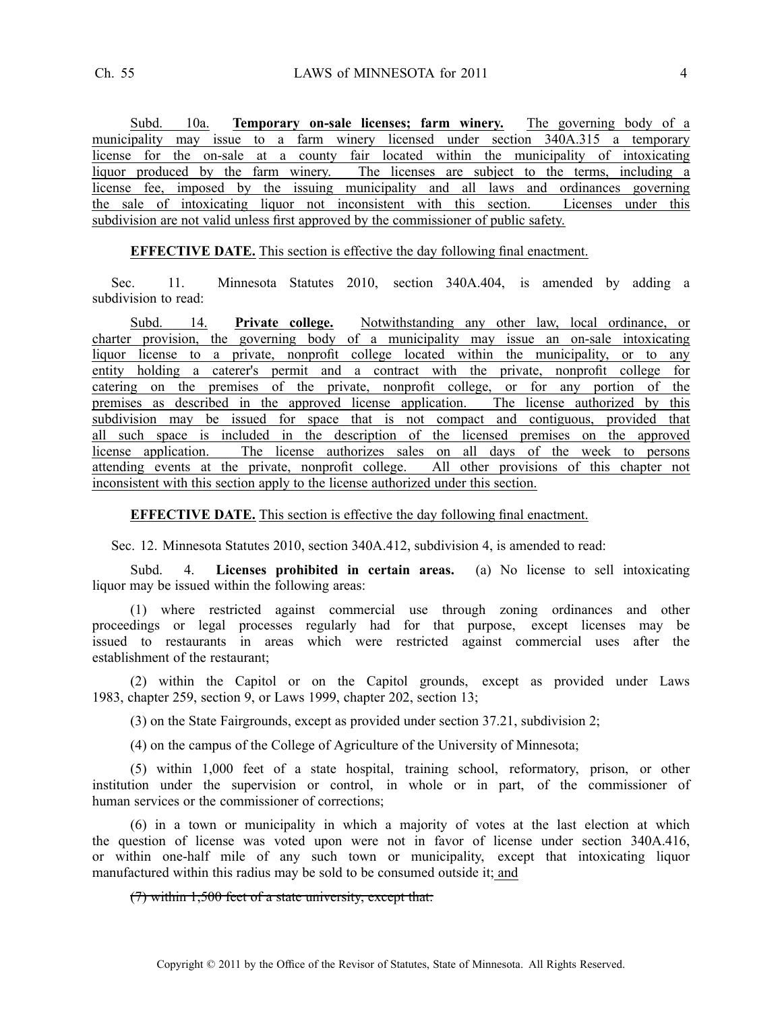Subd. 10a. **Temporary on-sale licenses; farm winery.** The governing body of <sup>a</sup> municipality may issue to <sup>a</sup> farm winery licensed under section 340A.315 <sup>a</sup> temporary license for the on-sale at <sup>a</sup> county fair located within the municipality of intoxicating liquor produced by the farm winery. The licenses are subject to the terms, including a license fee, imposed by the issuing municipality and all laws and ordinances governing the sale of intoxicating liquor not inconsistent with this section. Licenses under this subdivision are not valid unless first approved by the commissioner of public safety.

## **EFFECTIVE DATE.** This section is effective the day following final enactment.

Sec. 11. Minnesota Statutes 2010, section 340A.404, is amended by adding <sup>a</sup> subdivision to read:

Subd. 14. **Private college.** Notwithstanding any other law, local ordinance, or charter provision, the governing body of <sup>a</sup> municipality may issue an on-sale intoxicating liquor license to <sup>a</sup> private, nonprofit college located within the municipality, or to any entity holding <sup>a</sup> caterer's permit and <sup>a</sup> contract with the private, nonprofit college for catering on the premises of the private, nonprofit college, or for any portion of the premises as described in the approved license application. The license authorized by this subdivision may be issued for space that is not compac<sup>t</sup> and contiguous, provided that all such space is included in the description of the licensed premises on the approved license application. The license authorizes sales on all days of the week to persons attending events at the private, nonprofit college. All other provisions of this chapter not inconsistent with this section apply to the license authorized under this section.

**EFFECTIVE DATE.** This section is effective the day following final enactment.

Sec. 12. Minnesota Statutes 2010, section 340A.412, subdivision 4, is amended to read:

Subd. 4. **Licenses prohibited in certain areas.** (a) No license to sell intoxicating liquor may be issued within the following areas:

(1) where restricted against commercial use through zoning ordinances and other proceedings or legal processes regularly had for that purpose, excep<sup>t</sup> licenses may be issued to restaurants in areas which were restricted against commercial uses after the establishment of the restaurant;

(2) within the Capitol or on the Capitol grounds, excep<sup>t</sup> as provided under Laws 1983, chapter 259, section 9, or Laws 1999, chapter 202, section 13;

(3) on the State Fairgrounds, excep<sup>t</sup> as provided under section 37.21, subdivision 2;

(4) on the campus of the College of Agriculture of the University of Minnesota;

(5) within 1,000 feet of <sup>a</sup> state hospital, training school, reformatory, prison, or other institution under the supervision or control, in whole or in part, of the commissioner of human services or the commissioner of corrections;

(6) in <sup>a</sup> town or municipality in which <sup>a</sup> majority of votes at the last election at which the question of license was voted upon were not in favor of license under section 340A.416, or within one-half mile of any such town or municipality, excep<sup>t</sup> that intoxicating liquor manufactured within this radius may be sold to be consumed outside it; and

#### (7) within 1,500 feet of <sup>a</sup> state university, excep<sup>t</sup> that: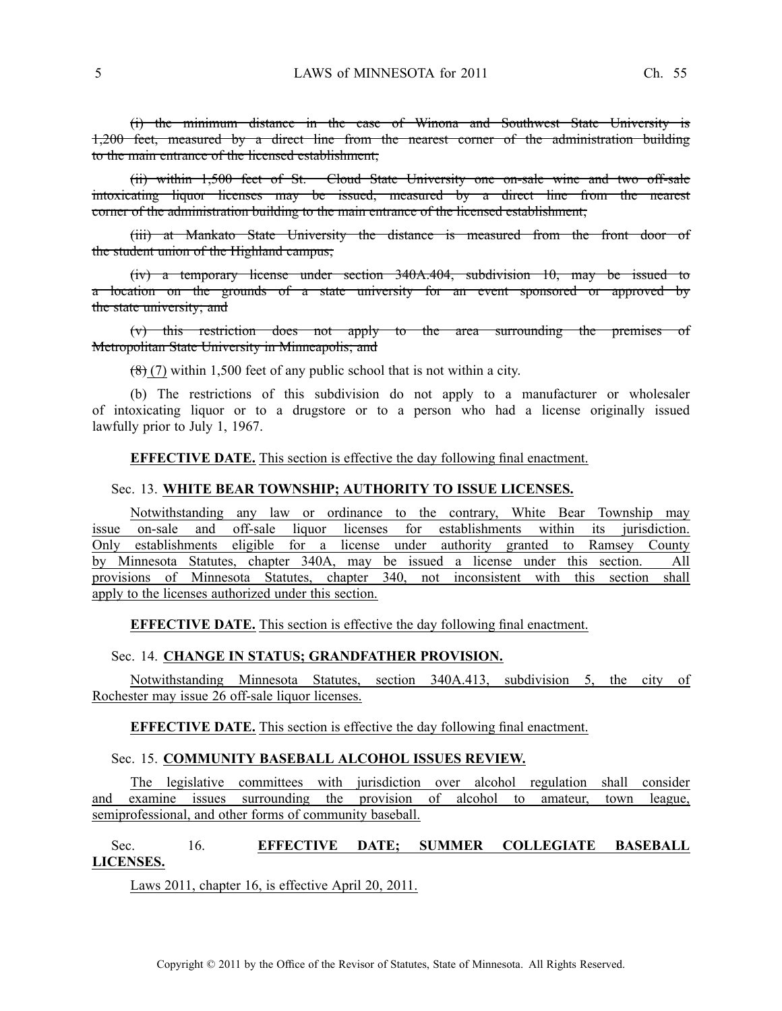(i) the minimum distance in the case of Winona and Southwest State University is 1,200 feet, measured by <sup>a</sup> direct line from the nearest corner of the administration building to the main entrance of the licensed establishment;

(ii) within 1,500 feet of St. Cloud State University one on-sale wine and two off-sale intoxicating liquor licenses may be issued, measured by <sup>a</sup> direct line from the nearest corner of the administration building to the main entrance of the licensed establishment;

(iii) at Mankato State University the distance is measured from the front door of the student union of the Highland campus;

(iv) <sup>a</sup> temporary license under section 340A.404, subdivision 10, may be issued to <sup>a</sup> location on the grounds of <sup>a</sup> state university for an event sponsored or approved by the state university; and

(v) this restriction does not apply to the area surrounding the premises of Metropolitan State University in Minneapolis; and

 $(8)(7)$  within 1,500 feet of any public school that is not within a city.

(b) The restrictions of this subdivision do not apply to <sup>a</sup> manufacturer or wholesaler of intoxicating liquor or to <sup>a</sup> drugstore or to <sup>a</sup> person who had <sup>a</sup> license originally issued lawfully prior to July 1, 1967.

**EFFECTIVE DATE.** This section is effective the day following final enactment.

#### Sec. 13. **WHITE BEAR TOWNSHIP; AUTHORITY TO ISSUE LICENSES.**

Notwithstanding any law or ordinance to the contrary, White Bear Township may issue on-sale and off-sale liquor licenses for establishments within its jurisdiction. Only establishments eligible for <sup>a</sup> license under authority granted to Ramsey County by Minnesota Statutes, chapter 340A, may be issued <sup>a</sup> license under this section. All provisions of Minnesota Statutes, chapter 340, not inconsistent with this section shall apply to the licenses authorized under this section.

**EFFECTIVE DATE.** This section is effective the day following final enactment.

### Sec. 14. **CHANGE IN STATUS; GRANDFATHER PROVISION.**

Notwithstanding Minnesota Statutes, section 340A.413, subdivision 5, the city of Rochester may issue 26 off-sale liquor licenses.

**EFFECTIVE DATE.** This section is effective the day following final enactment.

#### Sec. 15. **COMMUNITY BASEBALL ALCOHOL ISSUES REVIEW.**

The legislative committees with jurisdiction over alcohol regulation shall consider and examine issues surrounding the provision of alcohol to amateur, town league, semiprofessional, and other forms of community baseball.

# Sec. 16. **EFFECTIVE DATE; SUMMER COLLEGIATE BASEBALL LICENSES.**

Laws 2011, chapter 16, is effective April 20, 2011.